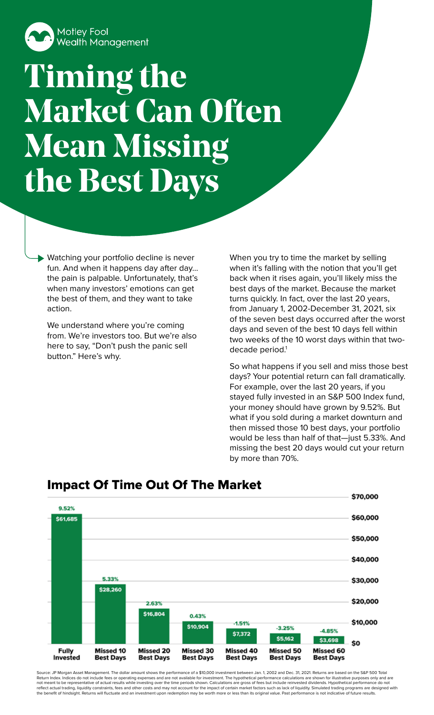

## **Timing the Market Can Often Mean Missing the Best Days**

Watching your portfolio decline is never fun. And when it happens day after day… the pain is palpable. Unfortunately, that's when many investors' emotions can get the best of them, and they want to take action.

We understand where you're coming from. We're investors too. But we're also here to say, "Don't push the panic sell button." Here's why.

When you try to time the market by selling when it's falling with the notion that you'll get back when it rises again, you'll likely miss the best days of the market. Because the market turns quickly. In fact, over the last 20 years, from January 1, 2002-December 31, 2021, six of the seven best days occurred after the worst days and seven of the best 10 days fell within two weeks of the 10 worst days within that twodecade period.<sup>1</sup>

So what happens if you sell and miss those best days? Your potential return can fall dramatically. For example, over the last 20 years, if you stayed fully invested in an S&P 500 Index fund, your money should have grown by 9.52%. But what if you sold during a market downturn and then missed those 10 best days, your portfolio would be less than half of that—just 5.33%. And missing the best 20 days would cut your return by more than 70%.



## Impact Of Time Out Of The Market

Source: JP Morgan Asset Management. The dollar amount shows the performance of a \$10,000 investment between Jan. 1, 2002 and Dec. 31, 2021. Returns are based on the S&P 500 Total Return Index. Indices do not include fees or operating expenses and are not available for investment. The hypothetical performance calculations are shown for illustrative purposes only and are not meant to be representative of actual results while investing over the time periods shown. Calculations are gross of fees but include reinvested dividends. Hypothetical performance do not<br>reflect actual trading, liquidi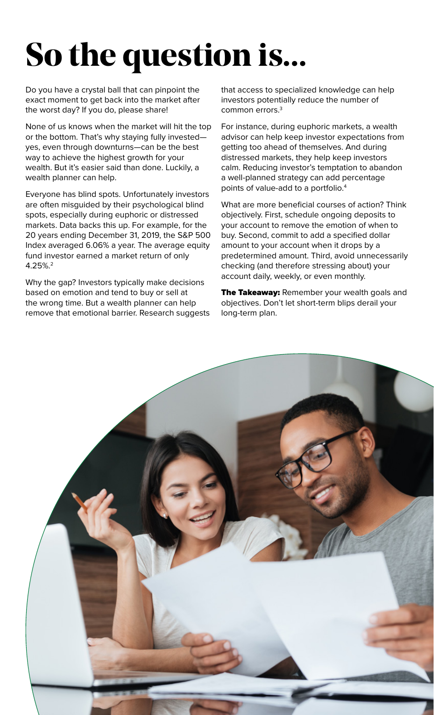## **So the question is...**

Do you have a crystal ball that can pinpoint the exact moment to get back into the market after the worst day? If you do, please share!

None of us knows when the market will hit the top or the bottom. That's why staying fully invested yes, even through downturns—can be the best way to achieve the highest growth for your wealth. But it's easier said than done. Luckily, a wealth planner can help.

Everyone has blind spots. Unfortunately investors are often misguided by their psychological blind spots, especially during euphoric or distressed markets. Data backs this up. For example, for the 20 years ending December 31, 2019, the S&P 500 Index averaged 6.06% a year. The average equity fund investor earned a market return of only 4.25%.2

Why the gap? Investors typically make decisions based on emotion and tend to buy or sell at the wrong time. But a wealth planner can help remove that emotional barrier. Research suggests

that access to specialized knowledge can help investors potentially reduce the number of common errors.3

For instance, during euphoric markets, a wealth advisor can help keep investor expectations from getting too ahead of themselves. And during distressed markets, they help keep investors calm. Reducing investor's temptation to abandon a well-planned strategy can add percentage points of value-add to a portfolio.4

What are more beneficial courses of action? Think objectively. First, schedule ongoing deposits to your account to remove the emotion of when to buy. Second, commit to add a specified dollar amount to your account when it drops by a predetermined amount. Third, avoid unnecessarily checking (and therefore stressing about) your account daily, weekly, or even monthly.

**The Takeaway:** Remember your wealth goals and objectives. Don't let short-term blips derail your long-term plan.